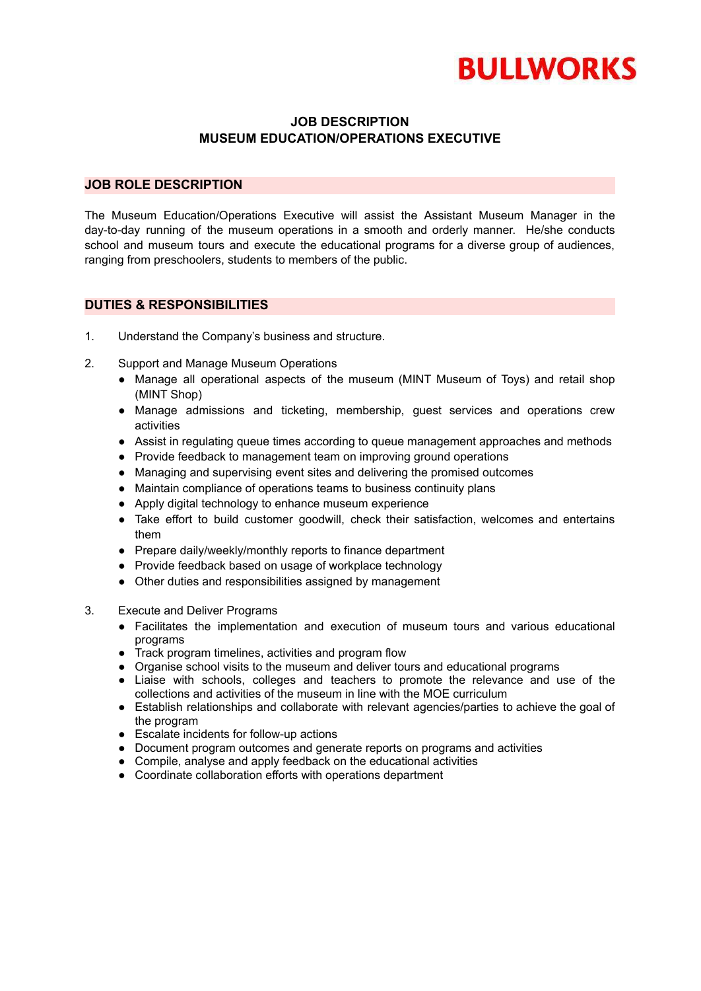

## **JOB DESCRIPTION MUSEUM EDUCATION/OPERATIONS EXECUTIVE**

## **JOB ROLE DESCRIPTION**

The Museum Education/Operations Executive will assist the Assistant Museum Manager in the day-to-day running of the museum operations in a smooth and orderly manner. He/she conducts school and museum tours and execute the educational programs for a diverse group of audiences. ranging from preschoolers, students to members of the public.

## **DUTIES & RESPONSIBILITIES**

- 1. Understand the Company's business and structure.
- 2. Support and Manage Museum Operations
	- Manage all operational aspects of the museum (MINT Museum of Toys) and retail shop (MINT Shop)
	- Manage admissions and ticketing, membership, guest services and operations crew activities
	- Assist in regulating queue times according to queue management approaches and methods
	- Provide feedback to management team on improving ground operations
	- Managing and supervising event sites and delivering the promised outcomes
	- Maintain compliance of operations teams to business continuity plans
	- Apply digital technology to enhance museum experience
	- Take effort to build customer goodwill, check their satisfaction, welcomes and entertains them
	- Prepare daily/weekly/monthly reports to finance department
	- Provide feedback based on usage of workplace technology
	- Other duties and responsibilities assigned by management
- 3. Execute and Deliver Programs
	- Facilitates the implementation and execution of museum tours and various educational programs
	- Track program timelines, activities and program flow
	- Organise school visits to the museum and deliver tours and educational programs
	- Liaise with schools, colleges and teachers to promote the relevance and use of the collections and activities of the museum in line with the MOE curriculum
	- Establish relationships and collaborate with relevant agencies/parties to achieve the goal of the program
	- Escalate incidents for follow-up actions
	- Document program outcomes and generate reports on programs and activities
	- Compile, analyse and apply feedback on the educational activities
	- Coordinate collaboration efforts with operations department